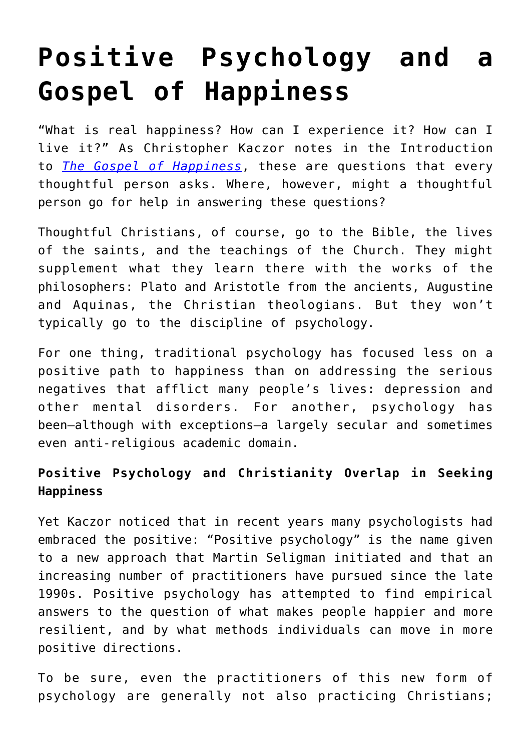# **[Positive Psychology and a](https://intellectualtakeout.org/2016/05/positive-psychology-and-a-gospel-of-happiness/) [Gospel of Happiness](https://intellectualtakeout.org/2016/05/positive-psychology-and-a-gospel-of-happiness/)**

"What is real happiness? How can I experience it? How can I live it?" As Christopher Kaczor notes in the Introduction to *[The Gospel of Happiness](http://amazon.com/Gospel-Happiness-Rediscover-Spiritual-Psychology/dp/0804141002/)*, these are questions that every thoughtful person asks. Where, however, might a thoughtful person go for help in answering these questions?

Thoughtful Christians, of course, go to the Bible, the lives of the saints, and the teachings of the Church. They might supplement what they learn there with the works of the philosophers: Plato and Aristotle from the ancients, Augustine and Aquinas, the Christian theologians. But they won't typically go to the discipline of psychology.

For one thing, traditional psychology has focused less on a positive path to happiness than on addressing the serious negatives that afflict many people's lives: depression and other mental disorders. For another, psychology has been—although with exceptions—a largely secular and sometimes even anti-religious academic domain.

## **Positive Psychology and Christianity Overlap in Seeking Happiness**

Yet Kaczor noticed that in recent years many psychologists had embraced the positive: "Positive psychology" is the name given to a new approach that Martin Seligman initiated and that an increasing number of practitioners have pursued since the late 1990s. Positive psychology has attempted to find empirical answers to the question of what makes people happier and more resilient, and by what methods individuals can move in more positive directions.

To be sure, even the practitioners of this new form of psychology are generally not also practicing Christians;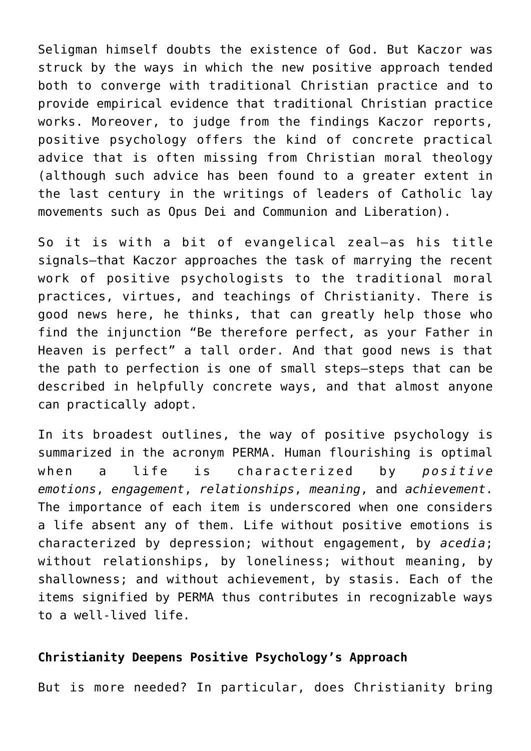Seligman himself doubts the existence of God. But Kaczor was struck by the ways in which the new positive approach tended both to converge with traditional Christian practice and to provide empirical evidence that traditional Christian practice works. Moreover, to judge from the findings Kaczor reports, positive psychology offers the kind of concrete practical advice that is often missing from Christian moral theology (although such advice has been found to a greater extent in the last century in the writings of leaders of Catholic lay movements such as Opus Dei and Communion and Liberation).

So it is with a bit of evangelical zeal—as his title signals—that Kaczor approaches the task of marrying the recent work of positive psychologists to the traditional moral practices, virtues, and teachings of Christianity. There is good news here, he thinks, that can greatly help those who find the injunction "Be therefore perfect, as your Father in Heaven is perfect" a tall order. And that good news is that the path to perfection is one of small steps—steps that can be described in helpfully concrete ways, and that almost anyone can practically adopt.

In its broadest outlines, the way of positive psychology is summarized in the acronym PERMA. Human flourishing is optimal when a life is characterized by *positive emotions*, *engagement*, *relationships*, *meaning*, and *achievement*. The importance of each item is underscored when one considers a life absent any of them. Life without positive emotions is characterized by depression; without engagement, by *acedia*; without relationships, by loneliness; without meaning, by shallowness; and without achievement, by stasis. Each of the items signified by PERMA thus contributes in recognizable ways to a well-lived life.

### **Christianity Deepens Positive Psychology's Approach**

But is more needed? In particular, does Christianity bring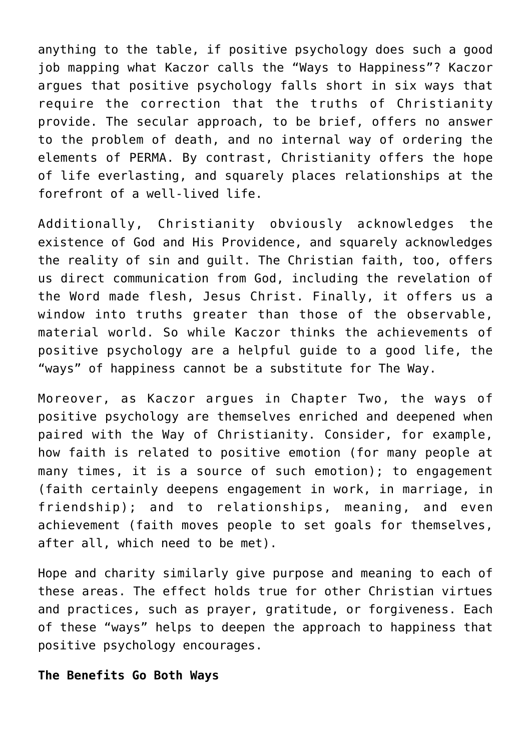anything to the table, if positive psychology does such a good job mapping what Kaczor calls the "Ways to Happiness"? Kaczor argues that positive psychology falls short in six ways that require the correction that the truths of Christianity provide. The secular approach, to be brief, offers no answer to the problem of death, and no internal way of ordering the elements of PERMA. By contrast, Christianity offers the hope of life everlasting, and squarely places relationships at the forefront of a well-lived life.

Additionally, Christianity obviously acknowledges the existence of God and His Providence, and squarely acknowledges the reality of sin and guilt. The Christian faith, too, offers us direct communication from God, including the revelation of the Word made flesh, Jesus Christ. Finally, it offers us a window into truths greater than those of the observable, material world. So while Kaczor thinks the achievements of positive psychology are a helpful guide to a good life, the "ways" of happiness cannot be a substitute for The Way.

Moreover, as Kaczor argues in Chapter Two, the ways of positive psychology are themselves enriched and deepened when paired with the Way of Christianity. Consider, for example, how faith is related to positive emotion (for many people at many times, it is a source of such emotion); to engagement (faith certainly deepens engagement in work, in marriage, in friendship); and to relationships, meaning, and even achievement (faith moves people to set goals for themselves, after all, which need to be met).

Hope and charity similarly give purpose and meaning to each of these areas. The effect holds true for other Christian virtues and practices, such as prayer, gratitude, or forgiveness. Each of these "ways" helps to deepen the approach to happiness that positive psychology encourages.

#### **The Benefits Go Both Ways**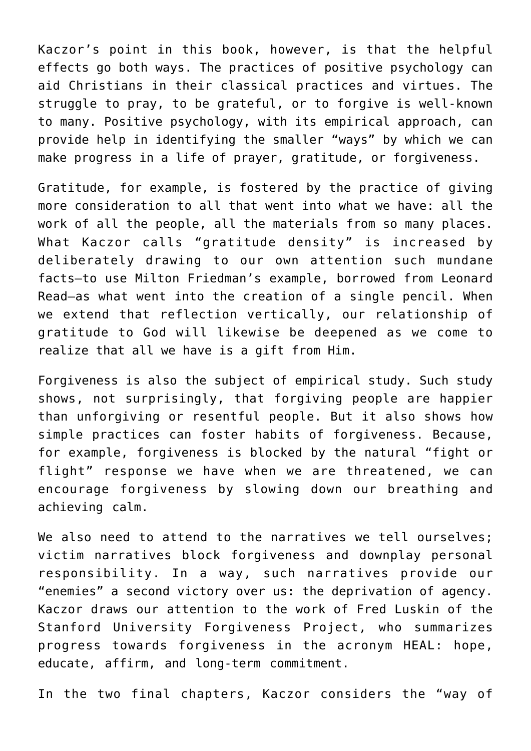Kaczor's point in this book, however, is that the helpful effects go both ways. The practices of positive psychology can aid Christians in their classical practices and virtues. The struggle to pray, to be grateful, or to forgive is well-known to many. Positive psychology, with its empirical approach, can provide help in identifying the smaller "ways" by which we can make progress in a life of prayer, gratitude, or forgiveness.

Gratitude, for example, is fostered by the practice of giving more consideration to all that went into what we have: all the work of all the people, all the materials from so many places. What Kaczor calls "gratitude density" is increased by deliberately drawing to our own attention such mundane facts—to use Milton Friedman's example, borrowed from Leonard Read—as what went into the creation of a single pencil. When we extend that reflection vertically, our relationship of gratitude to God will likewise be deepened as we come to realize that all we have is a gift from Him.

Forgiveness is also the subject of empirical study. Such study shows, not surprisingly, that forgiving people are happier than unforgiving or resentful people. But it also shows how simple practices can foster habits of forgiveness. Because, for example, forgiveness is blocked by the natural "fight or flight" response we have when we are threatened, we can encourage forgiveness by slowing down our breathing and achieving calm.

We also need to attend to the narratives we tell ourselves; victim narratives block forgiveness and downplay personal responsibility. In a way, such narratives provide our "enemies" a second victory over us: the deprivation of agency. Kaczor draws our attention to the work of Fred Luskin of the Stanford University Forgiveness Project, who summarizes progress towards forgiveness in the acronym HEAL: hope, educate, affirm, and long-term commitment.

In the two final chapters, Kaczor considers the "way of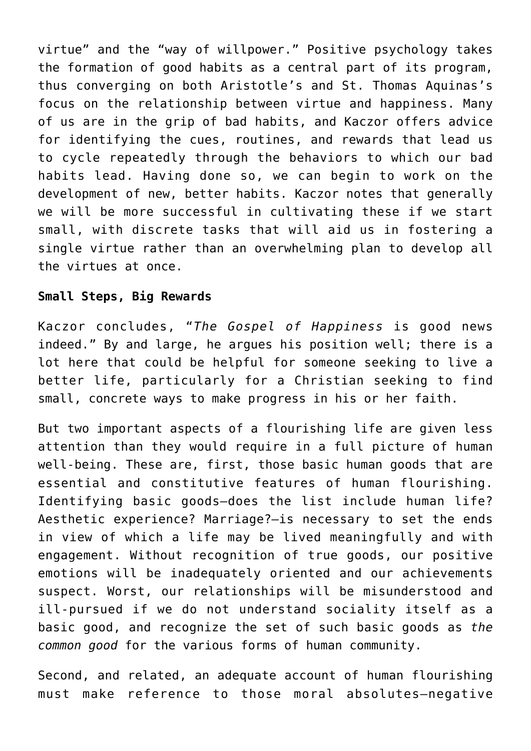virtue" and the "way of willpower." Positive psychology takes the formation of good habits as a central part of its program, thus converging on both Aristotle's and St. Thomas Aquinas's focus on the relationship between virtue and happiness. Many of us are in the grip of bad habits, and Kaczor offers advice for identifying the cues, routines, and rewards that lead us to cycle repeatedly through the behaviors to which our bad habits lead. Having done so, we can begin to work on the development of new, better habits. Kaczor notes that generally we will be more successful in cultivating these if we start small, with discrete tasks that will aid us in fostering a single virtue rather than an overwhelming plan to develop all the virtues at once.

#### **Small Steps, Big Rewards**

Kaczor concludes, "*The Gospel of Happiness* is good news indeed." By and large, he argues his position well; there is a lot here that could be helpful for someone seeking to live a better life, particularly for a Christian seeking to find small, concrete ways to make progress in his or her faith.

But two important aspects of a flourishing life are given less attention than they would require in a full picture of human well-being. These are, first, those basic human goods that are essential and constitutive features of human flourishing. Identifying basic goods—does the list include human life? Aesthetic experience? Marriage?—is necessary to set the ends in view of which a life may be lived meaningfully and with engagement. Without recognition of true goods, our positive emotions will be inadequately oriented and our achievements suspect. Worst, our relationships will be misunderstood and ill-pursued if we do not understand sociality itself as a basic good, and recognize the set of such basic goods as *the common good* for the various forms of human community.

Second, and related, an adequate account of human flourishing must make reference to those moral absolutes—negative